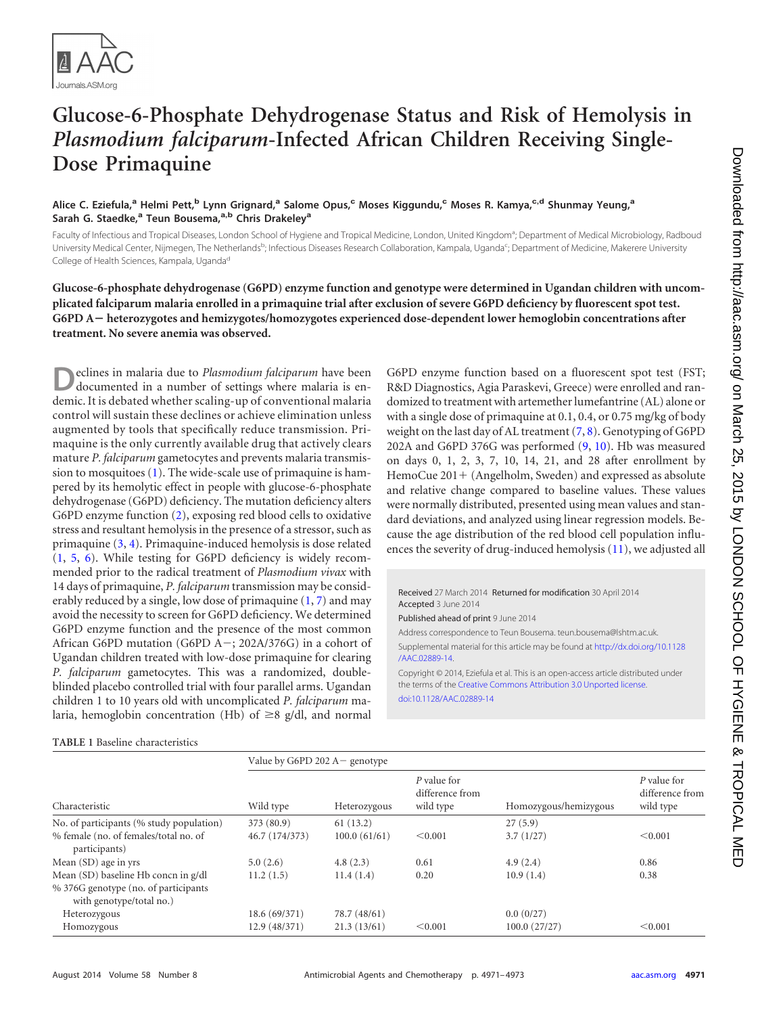

## **Glucose-6-Phosphate Dehydrogenase Status and Risk of Hemolysis in** *Plasmodium falciparum***-Infected African Children Receiving Single-Dose Primaquine**

**Alice C. Eziefula,<sup>a</sup> Helmi Pett,<sup>b</sup> Lynn Grignard,<sup>a</sup> Salome Opus,<sup>c</sup> Moses Kiggundu,<sup>c</sup> Moses R. Kamya,c,d Shunmay Yeung,<sup>a</sup> Sarah G. Staedke,<sup>a</sup> Teun Bousema,a,b Chris Drakeley<sup>a</sup>**

Faculty of Infectious and Tropical Diseases, London School of Hygiene and Tropical Medicine, London, United Kingdom<sup>a</sup>; Department of Medical Microbiology, Radboud University Medical Center, Nijmegen, The Netherlands<sup>b</sup>; Infectious Diseases Research Collaboration, Kampala, Uganda<sup>c</sup>; Department of Medicine, Makerere University College of Health Sciences, Kampala, Uganda<sup>d</sup>

**Glucose-6-phosphate dehydrogenase (G6PD) enzyme function and genotype were determined in Ugandan children with uncomplicated falciparum malaria enrolled in a primaquine trial after exclusion of severe G6PD deficiency by fluorescent spot test. G6PD A**- **heterozygotes and hemizygotes/homozygotes experienced dose-dependent lower hemoglobin concentrations after treatment. No severe anemia was observed.**

**D**eclines in malaria due to *Plasmodium falciparum* have been documented in a number of settings where malaria is endemic. It is debated whether scaling-up of conventional malaria control will sustain these declines or achieve elimination unless augmented by tools that specifically reduce transmission. Primaquine is the only currently available drug that actively clears mature *P. falciparum* gametocytes and prevents malaria transmission to mosquitoes [\(1\)](#page-2-0). The wide-scale use of primaquine is hampered by its hemolytic effect in people with glucose-6-phosphate dehydrogenase (G6PD) deficiency. The mutation deficiency alters G6PD enzyme function [\(2\)](#page-2-1), exposing red blood cells to oxidative stress and resultant hemolysis in the presence of a stressor, such as primaquine [\(3,](#page-2-2) [4\)](#page-2-3). Primaquine-induced hemolysis is dose related [\(1,](#page-2-0) [5,](#page-2-4) [6\)](#page-2-5). While testing for G6PD deficiency is widely recommended prior to the radical treatment of *Plasmodium vivax* with 14 days of primaquine, *P. falciparum* transmission may be considerably reduced by a single, low dose of primaquine [\(1,](#page-2-0) [7\)](#page-2-6) and may avoid the necessity to screen for G6PD deficiency. We determined G6PD enzyme function and the presence of the most common African G6PD mutation (G6PD A-; 202A/376G) in a cohort of Ugandan children treated with low-dose primaquine for clearing *P. falciparum* gametocytes. This was a randomized, doubleblinded placebo controlled trial with four parallel arms. Ugandan children 1 to 10 years old with uncomplicated *P. falciparum* malaria, hemoglobin concentration (Hb) of  $\geq$ 8 g/dl, and normal

## <span id="page-0-0"></span>**TABLE 1** Baseline characteristics

G6PD enzyme function based on a fluorescent spot test (FST; R&D Diagnostics, Agia Paraskevi, Greece) were enrolled and randomized to treatment with artemether lumefantrine (AL) alone or with a single dose of primaquine at 0.1, 0.4, or 0.75 mg/kg of body weight on the last day of AL treatment  $(7, 8)$  $(7, 8)$  $(7, 8)$ . Genotyping of G6PD 202A and G6PD 376G was performed [\(9,](#page-2-8) [10\)](#page-2-9). Hb was measured on days 0, 1, 2, 3, 7, 10, 14, 21, and 28 after enrollment by HemoCue 201+ (Angelholm, Sweden) and expressed as absolute and relative change compared to baseline values. These values were normally distributed, presented using mean values and standard deviations, and analyzed using linear regression models. Because the age distribution of the red blood cell population influences the severity of drug-induced hemolysis [\(11\)](#page-2-10), we adjusted all

Received 27 March 2014 Returned for modification 30 April 2014 Accepted 3 June 2014

Published ahead of print 9 June 2014

Address correspondence to Teun Bousema. teun.bousema@lshtm.ac.uk.

Supplemental material for this article may be found at [http://dx.doi.org/10.1128](http://dx.doi.org/10.1128/AAC.02889-14) [/AAC.02889-14.](http://dx.doi.org/10.1128/AAC.02889-14)

Copyright © 2014, Eziefula et al. This is an open-access article distributed under the terms of the [Creative Commons Attribution 3.0 Unported license.](http://creativecommons.org/licenses/by/3.0/) [doi:10.1128/AAC.02889-14](http://dx.doi.org/10.1128/AAC.02889-14)

| Characteristic                                                    | Value by G6PD 202 $A$ – genotype |              |                                             |                       |                                             |  |
|-------------------------------------------------------------------|----------------------------------|--------------|---------------------------------------------|-----------------------|---------------------------------------------|--|
|                                                                   | Wild type                        | Heterozygous | P value for<br>difference from<br>wild type | Homozygous/hemizygous | P value for<br>difference from<br>wild type |  |
| No. of participants (% study population)                          | 373 (80.9)                       | 61(13.2)     |                                             | 27(5.9)               |                                             |  |
| % female (no. of females/total no. of<br>participants)            | 46.7 (174/373)                   | 100.0(61/61) | < 0.001                                     | 3.7(1/27)             | < 0.001                                     |  |
| Mean (SD) age in yrs                                              | 5.0(2.6)                         | 4.8(2.3)     | 0.61                                        | 4.9(2.4)              | 0.86                                        |  |
| Mean (SD) baseline Hb concn in g/dl                               | 11.2(1.5)                        | 11.4(1.4)    | 0.20                                        | 10.9(1.4)             | 0.38                                        |  |
| % 376G genotype (no. of participants)<br>with genotype/total no.) |                                  |              |                                             |                       |                                             |  |
| Heterozygous                                                      | 18.6 (69/371)                    | 78.7 (48/61) |                                             | 0.0(0/27)             |                                             |  |
| Homozygous                                                        | 12.9(48/371)                     | 21.3(13/61)  | < 0.001                                     | 100.0(27/27)          | < 0.001                                     |  |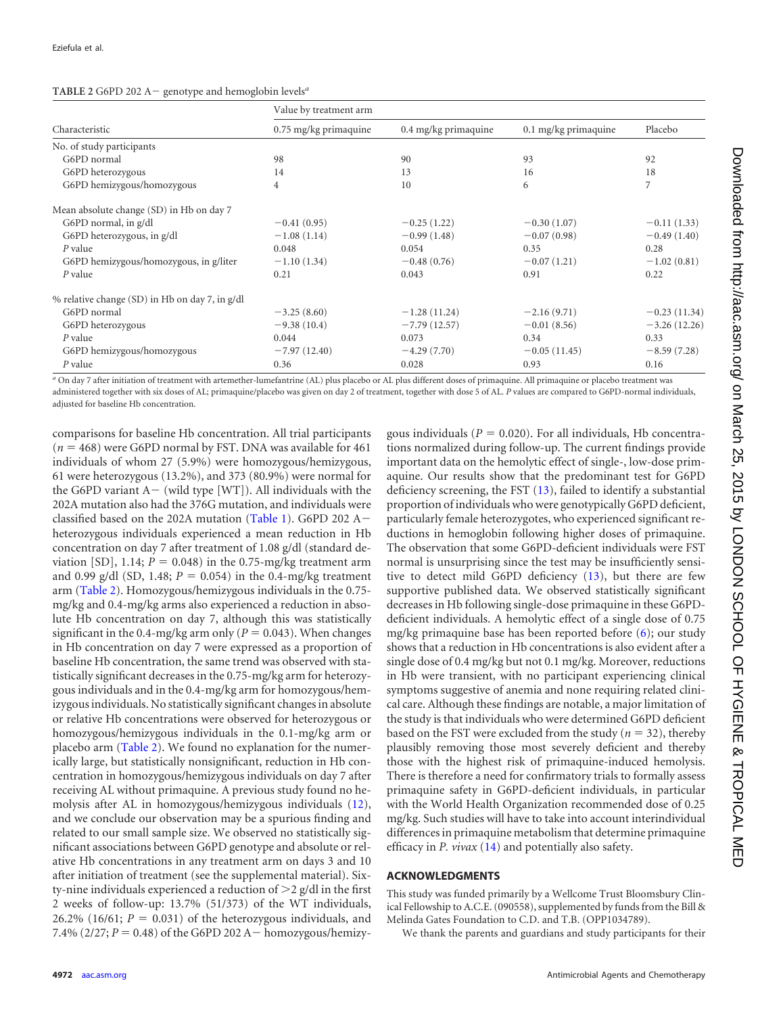<span id="page-1-0"></span>

| <b>TABLE 2</b> G6PD 202 A – genotype and hemoglobin levels <sup><i>a</i></sup> |  |
|--------------------------------------------------------------------------------|--|
|                                                                                |  |

|                                                | Value by treatment arm |                      |                      |                |  |  |
|------------------------------------------------|------------------------|----------------------|----------------------|----------------|--|--|
| Characteristic                                 | 0.75 mg/kg primaquine  | 0.4 mg/kg primaquine | 0.1 mg/kg primaquine | Placebo        |  |  |
| No. of study participants                      |                        |                      |                      |                |  |  |
| G6PD normal                                    | 98                     | 90                   | 93                   | 92             |  |  |
| G6PD heterozygous                              | 14                     | 13                   | 16                   | 18             |  |  |
| G6PD hemizygous/homozygous                     | $\overline{4}$         | 10                   | 6                    | 7              |  |  |
| Mean absolute change (SD) in Hb on day 7       |                        |                      |                      |                |  |  |
| G6PD normal, in g/dl                           | $-0.41(0.95)$          | $-0.25(1.22)$        | $-0.30(1.07)$        | $-0.11(1.33)$  |  |  |
| G6PD heterozygous, in g/dl                     | $-1.08(1.14)$          | $-0.99(1.48)$        | $-0.07(0.98)$        | $-0.49(1.40)$  |  |  |
| P value                                        | 0.048                  | 0.054                | 0.35                 | 0.28           |  |  |
| G6PD hemizygous/homozygous, in g/liter         | $-1.10(1.34)$          | $-0.48(0.76)$        | $-0.07(1.21)$        | $-1.02(0.81)$  |  |  |
| $P$ value                                      | 0.21                   | 0.043                | 0.91                 | 0.22           |  |  |
| % relative change (SD) in Hb on day 7, in g/dl |                        |                      |                      |                |  |  |
| G6PD normal                                    | $-3.25(8.60)$          | $-1.28(11.24)$       | $-2.16(9.71)$        | $-0.23(11.34)$ |  |  |
| G6PD heterozygous                              | $-9.38(10.4)$          | $-7.79(12.57)$       | $-0.01(8.56)$        | $-3.26(12.26)$ |  |  |
| P value                                        | 0.044                  | 0.073                | 0.34                 | 0.33           |  |  |
| G6PD hemizygous/homozygous                     | $-7.97(12.40)$         | $-4.29(7.70)$        | $-0.05(11.45)$       | $-8.59(7.28)$  |  |  |
| P value                                        | 0.36                   | 0.028                | 0.93                 | 0.16           |  |  |

*<sup>a</sup>* On day 7 after initiation of treatment with artemether-lumefantrine (AL) plus placebo or AL plus different doses of primaquine. All primaquine or placebo treatment was administered together with six doses of AL; primaquine/placebo was given on day 2 of treatment, together with dose 5 of AL. *P* values are compared to G6PD-normal individuals, adjusted for baseline Hb concentration.

comparisons for baseline Hb concentration. All trial participants  $(n = 468)$  were G6PD normal by FST. DNA was available for 461 individuals of whom 27 (5.9%) were homozygous/hemizygous, 61 were heterozygous (13.2%), and 373 (80.9%) were normal for the G6PD variant  $A-$  (wild type [WT]). All individuals with the 202A mutation also had the 376G mutation, and individuals were classified based on the 202A mutation [\(Table 1\)](#page-0-0). G6PD 202 A $$ heterozygous individuals experienced a mean reduction in Hb concentration on day 7 after treatment of 1.08 g/dl (standard deviation [SD],  $1.14$ ;  $P = 0.048$ ) in the 0.75-mg/kg treatment arm and 0.99 g/dl (SD, 1.48;  $P = 0.054$ ) in the 0.4-mg/kg treatment arm [\(Table 2\)](#page-1-0). Homozygous/hemizygous individuals in the 0.75 mg/kg and 0.4-mg/kg arms also experienced a reduction in absolute Hb concentration on day 7, although this was statistically significant in the 0.4-mg/kg arm only ( $P = 0.043$ ). When changes in Hb concentration on day 7 were expressed as a proportion of baseline Hb concentration, the same trend was observed with statistically significant decreases in the 0.75-mg/kg arm for heterozygous individuals and in the 0.4-mg/kg arm for homozygous/hemizygous individuals. No statistically significant changes in absolute or relative Hb concentrations were observed for heterozygous or homozygous/hemizygous individuals in the 0.1-mg/kg arm or placebo arm [\(Table 2\)](#page-1-0). We found no explanation for the numerically large, but statistically nonsignificant, reduction in Hb concentration in homozygous/hemizygous individuals on day 7 after receiving AL without primaquine. A previous study found no hemolysis after AL in homozygous/hemizygous individuals [\(12\)](#page-2-11), and we conclude our observation may be a spurious finding and related to our small sample size. We observed no statistically significant associations between G6PD genotype and absolute or relative Hb concentrations in any treatment arm on days 3 and 10 after initiation of treatment (see the supplemental material). Sixty-nine individuals experienced a reduction of  $>2$  g/dl in the first 2 weeks of follow-up: 13.7% (51/373) of the WT individuals, 26.2% (16/61;  $P = 0.031$ ) of the heterozygous individuals, and 7.4%  $(2/27; P = 0.48)$  of the G6PD 202 A  $-$  homozygous/hemizygous individuals ( $P = 0.020$ ). For all individuals, Hb concentrations normalized during follow-up. The current findings provide important data on the hemolytic effect of single-, low-dose primaquine. Our results show that the predominant test for G6PD deficiency screening, the FST [\(13\)](#page-2-12), failed to identify a substantial proportion of individuals who were genotypically G6PD deficient, particularly female heterozygotes, who experienced significant reductions in hemoglobin following higher doses of primaquine. The observation that some G6PD-deficient individuals were FST normal is unsurprising since the test may be insufficiently sensitive to detect mild G6PD deficiency [\(13\)](#page-2-12), but there are few supportive published data. We observed statistically significant decreases in Hb following single-dose primaquine in these G6PDdeficient individuals. A hemolytic effect of a single dose of 0.75 mg/kg primaquine base has been reported before [\(6\)](#page-2-5); our study shows that a reduction in Hb concentrations is also evident after a single dose of 0.4 mg/kg but not 0.1 mg/kg. Moreover, reductions in Hb were transient, with no participant experiencing clinical symptoms suggestive of anemia and none requiring related clinical care. Although these findings are notable, a major limitation of the study is that individuals who were determined G6PD deficient based on the FST were excluded from the study ( $n = 32$ ), thereby plausibly removing those most severely deficient and thereby those with the highest risk of primaquine-induced hemolysis. There is therefore a need for confirmatory trials to formally assess primaquine safety in G6PD-deficient individuals, in particular with the World Health Organization recommended dose of 0.25 mg/kg. Such studies will have to take into account interindividual differences in primaquine metabolism that determine primaquine efficacy in *P. vivax* [\(14\)](#page-2-13) and potentially also safety.

## **ACKNOWLEDGMENTS**

This study was funded primarily by a Wellcome Trust Bloomsbury Clinical Fellowship to A.C.E. (090558), supplemented by funds from the Bill & Melinda Gates Foundation to C.D. and T.B. (OPP1034789).

We thank the parents and guardians and study participants for their